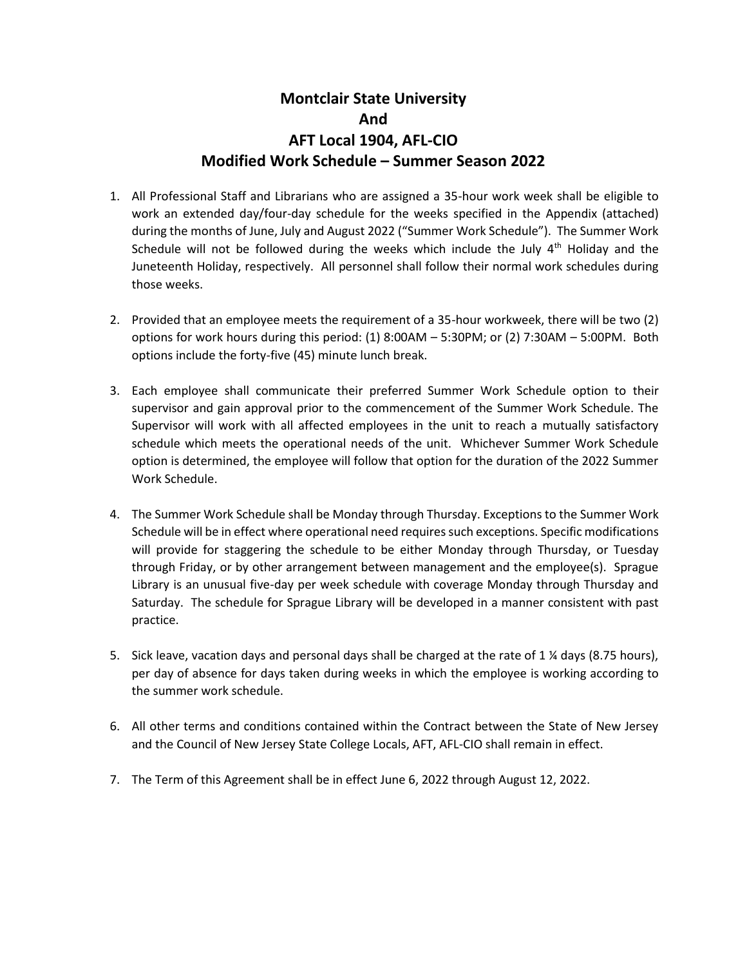## **Montclair State University And AFT Local 1904, AFL-CIO Modified Work Schedule – Summer Season 2022**

- 1. All Professional Staff and Librarians who are assigned a 35-hour work week shall be eligible to work an extended day/four-day schedule for the weeks specified in the Appendix (attached) during the months of June, July and August 2022 ("Summer Work Schedule"). The Summer Work Schedule will not be followed during the weeks which include the July  $4<sup>th</sup>$  Holiday and the Juneteenth Holiday, respectively. All personnel shall follow their normal work schedules during those weeks.
- 2. Provided that an employee meets the requirement of a 35-hour workweek, there will be two (2) options for work hours during this period: (1) 8:00AM – 5:30PM; or (2) 7:30AM – 5:00PM. Both options include the forty-five (45) minute lunch break.
- 3. Each employee shall communicate their preferred Summer Work Schedule option to their supervisor and gain approval prior to the commencement of the Summer Work Schedule. The Supervisor will work with all affected employees in the unit to reach a mutually satisfactory schedule which meets the operational needs of the unit. Whichever Summer Work Schedule option is determined, the employee will follow that option for the duration of the 2022 Summer Work Schedule.
- 4. The Summer Work Schedule shall be Monday through Thursday. Exceptions to the Summer Work Schedule will be in effect where operational need requires such exceptions. Specific modifications will provide for staggering the schedule to be either Monday through Thursday, or Tuesday through Friday, or by other arrangement between management and the employee(s). Sprague Library is an unusual five-day per week schedule with coverage Monday through Thursday and Saturday. The schedule for Sprague Library will be developed in a manner consistent with past practice.
- 5. Sick leave, vacation days and personal days shall be charged at the rate of 1 ¼ days (8.75 hours), per day of absence for days taken during weeks in which the employee is working according to the summer work schedule.
- 6. All other terms and conditions contained within the Contract between the State of New Jersey and the Council of New Jersey State College Locals, AFT, AFL-CIO shall remain in effect.
- 7. The Term of this Agreement shall be in effect June 6, 2022 through August 12, 2022.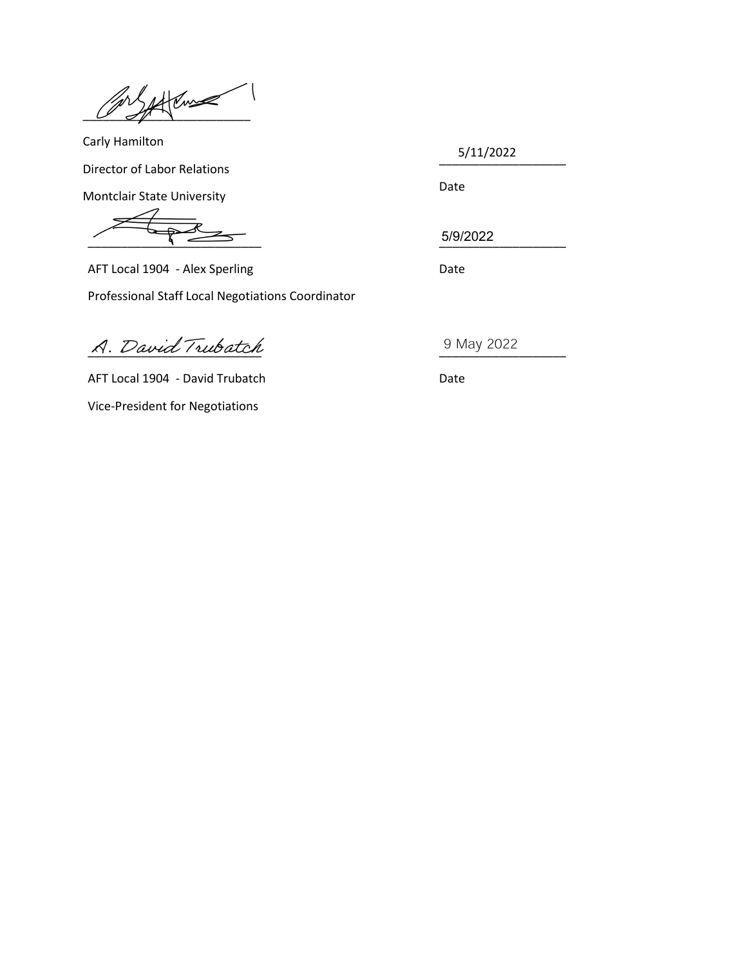$Z$ 

Carly Hamilton Director of Labor Relations Montclair State University

\_\_\_\_\_\_\_\_\_\_\_\_\_\_\_\_\_\_\_ 5/11/2022

 $\frac{1}{\sqrt{1-\frac{1}{2}}}\frac{1}{\sqrt{1-\frac{1}{2}}}\frac{1}{\sqrt{1-\frac{1}{2}}}\frac{1}{\sqrt{1-\frac{1}{2}}}\frac{1}{\sqrt{1-\frac{1}{2}}}\frac{1}{\sqrt{1-\frac{1}{2}}}\frac{1}{\sqrt{1-\frac{1}{2}}}\frac{1}{\sqrt{1-\frac{1}{2}}}\frac{1}{\sqrt{1-\frac{1}{2}}}\frac{1}{\sqrt{1-\frac{1}{2}}}\frac{1}{\sqrt{1-\frac{1}{2}}}\frac{1}{\sqrt{1-\frac{1}{2}}}\frac{1}{\sqrt{1-\frac{1}{2}}}\frac{1}{\sqrt{1-\frac{$ 

AFT Local 1904 - Alex Sperling Date Professional Staff Local Negotiations Coordinator

 $A.$  David Trubatch

AFT Local 1904 - David Trubatch Date Vice-President for Negotiations

Date

5/9/2022

9 May 2022